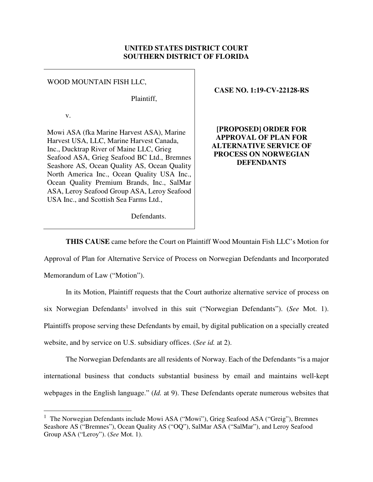## **UNITED STATES DISTRICT COURT SOUTHERN DISTRICT OF FLORIDA**

## WOOD MOUNTAIN FISH LLC,

Plaintiff,

v.

Mowi ASA (fka Marine Harvest ASA), Marine Harvest USA, LLC, Marine Harvest Canada, Inc., Ducktrap River of Maine LLC, Grieg Seafood ASA, Grieg Seafood BC Ltd., Bremnes Seashore AS, Ocean Quality AS, Ocean Quality North America Inc., Ocean Quality USA Inc., Ocean Quality Premium Brands, Inc., SalMar ASA, Leroy Seafood Group ASA, Leroy Seafood USA Inc., and Scottish Sea Farms Ltd.,

**CASE NO. 1:19-CV-22128-RS**

**[PROPOSED] ORDER FOR APPROVAL OF PLAN FOR ALTERNATIVE SERVICE OF PROCESS ON NORWEGIAN DEFENDANTS** 

Defendants.

**THIS CAUSE** came before the Court on Plaintiff Wood Mountain Fish LLC's Motion for

Approval of Plan for Alternative Service of Process on Norwegian Defendants and Incorporated

Memorandum of Law ("Motion").

 $\overline{a}$ 

In its Motion, Plaintiff requests that the Court authorize alternative service of process on six Norwegian Defendants<sup>1</sup> involved in this suit ("Norwegian Defendants"). (*See* Mot. 1). Plaintiffs propose serving these Defendants by email, by digital publication on a specially created website, and by service on U.S. subsidiary offices. (*See id.* at 2).

The Norwegian Defendants are all residents of Norway. Each of the Defendants "is a major international business that conducts substantial business by email and maintains well-kept webpages in the English language." (*Id.* at 9). These Defendants operate numerous websites that

<sup>&</sup>lt;sup>1</sup> The Norwegian Defendants include Mowi ASA ("Mowi"), Grieg Seafood ASA ("Greig"), Bremnes Seashore AS ("Bremnes"), Ocean Quality AS ("OQ"), SalMar ASA ("SalMar"), and Leroy Seafood Group ASA ("Leroy"). (*See* Mot. 1).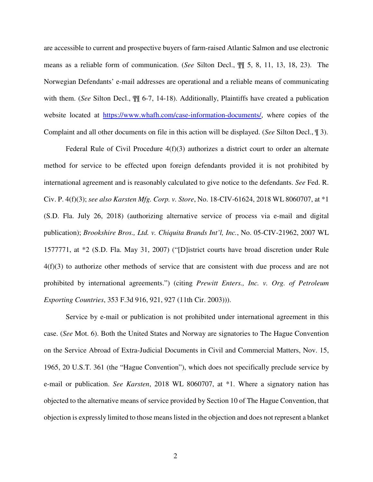are accessible to current and prospective buyers of farm-raised Atlantic Salmon and use electronic means as a reliable form of communication. (*See* Silton Decl., ¶¶ 5, 8, 11, 13, 18, 23). The Norwegian Defendants' e-mail addresses are operational and a reliable means of communicating with them. (*See* Silton Decl., ¶¶ 6-7, 14-18). Additionally, Plaintiffs have created a publication website located at https://www.whafh.com/case-information-documents/, where copies of the Complaint and all other documents on file in this action will be displayed. (*See* Silton Decl., ¶ 3).

Federal Rule of Civil Procedure 4(f)(3) authorizes a district court to order an alternate method for service to be effected upon foreign defendants provided it is not prohibited by international agreement and is reasonably calculated to give notice to the defendants. *See* Fed. R. Civ. P. 4(f)(3); *see also Karsten Mfg. Corp. v. Store*, No. 18-CIV-61624, 2018 WL 8060707, at \*1 (S.D. Fla. July 26, 2018) (authorizing alternative service of process via e-mail and digital publication); *Brookshire Bros., Ltd. v. Chiquita Brands Int'l, Inc.*, No. 05-CIV-21962, 2007 WL 1577771, at \*2 (S.D. Fla. May 31, 2007) ("[D]istrict courts have broad discretion under Rule 4(f)(3) to authorize other methods of service that are consistent with due process and are not prohibited by international agreements.") (citing *Prewitt Enters., Inc. v. Org. of Petroleum Exporting Countries*, 353 F.3d 916, 921, 927 (11th Cir. 2003))).

Service by e-mail or publication is not prohibited under international agreement in this case. (*See* Mot. 6). Both the United States and Norway are signatories to The Hague Convention on the Service Abroad of Extra-Judicial Documents in Civil and Commercial Matters, Nov. 15, 1965, 20 U.S.T. 361 (the "Hague Convention"), which does not specifically preclude service by e-mail or publication. *See Karsten*, 2018 WL 8060707, at \*1. Where a signatory nation has objected to the alternative means of service provided by Section 10 of The Hague Convention, that objection is expressly limited to those means listed in the objection and does not represent a blanket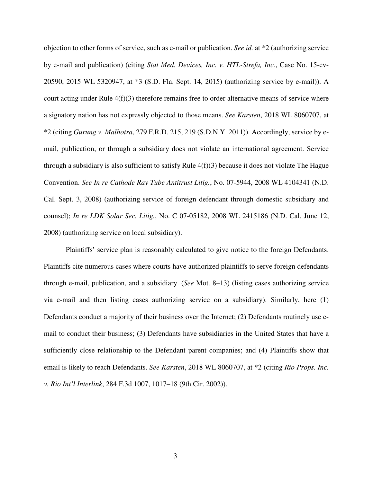objection to other forms of service, such as e-mail or publication. *See id.* at \*2 (authorizing service by e-mail and publication) (citing *Stat Med. Devices, Inc. v. HTL-Strefa, Inc.*, Case No. 15-cv-20590, 2015 WL 5320947, at \*3 (S.D. Fla. Sept. 14, 2015) (authorizing service by e-mail)). A court acting under Rule  $4(f)(3)$  therefore remains free to order alternative means of service where a signatory nation has not expressly objected to those means. *See Karsten*, 2018 WL 8060707, at \*2 (citing *Gurung v. Malhotra*, 279 F.R.D. 215, 219 (S.D.N.Y. 2011)). Accordingly, service by email, publication, or through a subsidiary does not violate an international agreement. Service through a subsidiary is also sufficient to satisfy Rule 4(f)(3) because it does not violate The Hague Convention. *See In re Cathode Ray Tube Antitrust Litig.*, No. 07-5944, 2008 WL 4104341 (N.D. Cal. Sept. 3, 2008) (authorizing service of foreign defendant through domestic subsidiary and counsel); *In re LDK Solar Sec. Litig.*, No. C 07-05182, 2008 WL 2415186 (N.D. Cal. June 12, 2008) (authorizing service on local subsidiary).

Plaintiffs' service plan is reasonably calculated to give notice to the foreign Defendants. Plaintiffs cite numerous cases where courts have authorized plaintiffs to serve foreign defendants through e-mail, publication, and a subsidiary. (*See* Mot. 8–13) (listing cases authorizing service via e-mail and then listing cases authorizing service on a subsidiary). Similarly, here (1) Defendants conduct a majority of their business over the Internet; (2) Defendants routinely use email to conduct their business; (3) Defendants have subsidiaries in the United States that have a sufficiently close relationship to the Defendant parent companies; and (4) Plaintiffs show that email is likely to reach Defendants. *See Karsten*, 2018 WL 8060707, at \*2 (citing *Rio Props. Inc. v. Rio Int'l Interlink*, 284 F.3d 1007, 1017–18 (9th Cir. 2002)).